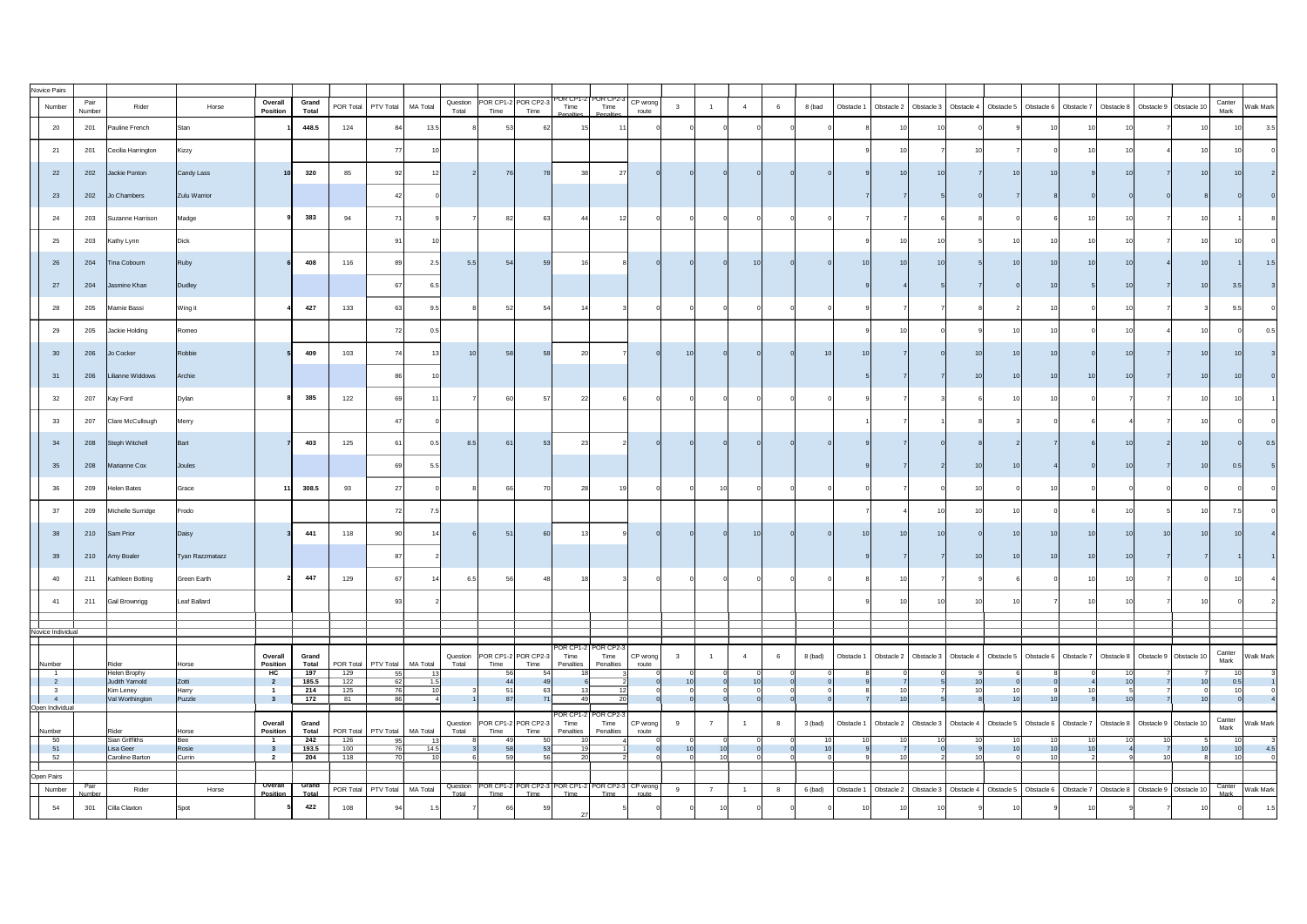| Novice Pairs         |                |                             |                    |                            |                              |            |                                  |      |                                                   |                              |                   |                                                                                         |  |           |            |                 |  |                 |    |    |                                                                                                                     |                |                              |
|----------------------|----------------|-----------------------------|--------------------|----------------------------|------------------------------|------------|----------------------------------|------|---------------------------------------------------|------------------------------|-------------------|-----------------------------------------------------------------------------------------|--|-----------|------------|-----------------|--|-----------------|----|----|---------------------------------------------------------------------------------------------------------------------|----------------|------------------------------|
| Number               | Pair<br>Number | Rider                       | Horse              | Overall<br><b>Position</b> | Grand<br><b>Total</b>        |            | POR Total   PTV Total   MA Total |      | Question   POR CP1-2   POR CP2-3<br>Total<br>Time | Time                         | Time              | $\left[ \begin{array}{c}$ POR CP2-3 $\left[$ CP wrong $\right]$<br>Time<br>route        |  | 8 (bad    | Obstacle 1 |                 |  |                 |    |    | Obstacle 2   Obstacle 3   Obstacle 4   Obstacle 5   Obstacle 6   Obstacle 7   Obstacle 8   Obstacle 9   Obstacle 10 | Canter<br>Mark | Walk Mark                    |
| 20                   | 201            | Pauline French              | Stan               |                            | 448.5                        | 124        | 84                               | 13.5 |                                                   | 53                           |                   |                                                                                         |  |           |            |                 |  |                 |    |    |                                                                                                                     |                | 3.5                          |
| 21                   | 201            | Cecilia Harrington          | Kizzy              |                            |                              |            |                                  |      |                                                   |                              |                   |                                                                                         |  |           |            |                 |  |                 |    |    |                                                                                                                     |                |                              |
| 22                   | 202            | Jackie Ponton               | Candy Lass         |                            | 320                          | 85         |                                  |      |                                                   | 76                           |                   | 27                                                                                      |  |           |            | 10 <sup>1</sup> |  |                 |    |    |                                                                                                                     |                |                              |
| 23                   | 202            | Jo Chambers                 | Zulu Warrior       |                            |                              |            |                                  |      |                                                   |                              |                   |                                                                                         |  |           |            |                 |  |                 |    |    |                                                                                                                     |                |                              |
| 24                   | 203            | Suzanne Harrison            | Madge              |                            | 383                          | 94         |                                  |      |                                                   |                              |                   |                                                                                         |  |           |            |                 |  |                 |    |    |                                                                                                                     |                |                              |
| 25                   | 203            | Kathy Lynn                  | <b>Dick</b>        |                            |                              |            |                                  |      |                                                   |                              |                   |                                                                                         |  |           |            |                 |  |                 |    |    |                                                                                                                     |                |                              |
| 26                   | 204            | Tina Cobourn                | Ruby               |                            | 408                          | 116        |                                  | 2F   | 5.5                                               | 54                           |                   |                                                                                         |  |           |            | 10              |  |                 |    |    |                                                                                                                     |                | $\vert 5 \vert$              |
| 27                   | 204            | Jasmine Khan                | Dudley             |                            |                              |            |                                  | 6.5  |                                                   |                              |                   |                                                                                         |  |           |            |                 |  |                 |    |    |                                                                                                                     |                |                              |
| 28                   | 205            | Marnie Bassi                | Wing it            |                            | 427                          | 133        |                                  |      |                                                   |                              |                   |                                                                                         |  |           |            |                 |  |                 |    |    |                                                                                                                     |                |                              |
| 29                   | 205            | Jackie Holding              | Romeo              |                            |                              |            |                                  | 0.5  |                                                   |                              |                   |                                                                                         |  |           |            |                 |  |                 |    |    |                                                                                                                     |                |                              |
| 30                   | 206            | Jo Cocker                   | Robbie             |                            | 409                          | 103        | 74                               |      | 10                                                | 58                           |                   |                                                                                         |  |           |            |                 |  |                 |    |    |                                                                                                                     |                |                              |
| $-31$                | 206            | Lilianne Widdows            | Archie             |                            |                              |            |                                  |      |                                                   |                              |                   |                                                                                         |  |           |            |                 |  |                 | 10 |    |                                                                                                                     |                |                              |
| 32                   | 207            | Kay Ford                    | Dylan              |                            | 385                          | 122        |                                  |      |                                                   | 60                           | 22                |                                                                                         |  |           |            |                 |  | 1 $\cap$        |    |    |                                                                                                                     |                |                              |
| 33                   | 207            | Clare McCullough            | Merry              |                            |                              |            |                                  |      |                                                   |                              |                   |                                                                                         |  |           |            |                 |  |                 |    |    |                                                                                                                     |                |                              |
| 34                   | 208            | Steph Witchell              | Bart               |                            | 403                          | 125        | -61                              | 0.5  | 8.5                                               | 61                           |                   |                                                                                         |  |           |            |                 |  |                 |    |    |                                                                                                                     |                | 0.5                          |
| 35                   | 208            | Marianne Cox                | Joules             |                            |                              |            |                                  | 5.5  |                                                   |                              |                   |                                                                                         |  |           |            |                 |  |                 |    |    |                                                                                                                     | 0.5<br>10 I    |                              |
| 36                   | 209            | <b>Helen Bates</b>          | Grace              |                            | 308.5                        | 93         |                                  |      |                                                   | 66l                          |                   |                                                                                         |  |           |            |                 |  |                 |    |    |                                                                                                                     |                |                              |
| 37                   | 209            | Michelle Surridge           | Frodo              |                            |                              |            | 72                               | 7.5  |                                                   |                              |                   |                                                                                         |  |           |            |                 |  |                 |    |    |                                                                                                                     |                |                              |
| 38                   | 210            | Sam Prior                   | Daisy              |                            | 441                          | 118        |                                  |      |                                                   | 51                           |                   |                                                                                         |  |           |            |                 |  |                 |    |    |                                                                                                                     |                |                              |
| 39                   | 210            | Amy Boaler                  | Tyan Razzmatazz    |                            |                              |            |                                  |      |                                                   |                              |                   |                                                                                         |  |           |            |                 |  |                 |    |    |                                                                                                                     |                |                              |
| 40                   | 211            | Kathleen Botting            | <b>Green Earth</b> |                            | 447                          | 129        |                                  |      |                                                   |                              |                   |                                                                                         |  |           |            |                 |  |                 |    |    |                                                                                                                     |                |                              |
| 41                   | 211            | <b>Gail Brownrigg</b>       | Leaf Ballard       |                            |                              |            |                                  |      |                                                   |                              |                   |                                                                                         |  |           |            |                 |  |                 |    |    |                                                                                                                     |                |                              |
| Novice Individual    |                |                             |                    |                            |                              |            |                                  |      |                                                   |                              |                   |                                                                                         |  |           |            |                 |  |                 |    |    |                                                                                                                     |                |                              |
|                      |                |                             |                    | Overall                    | Grand                        |            |                                  |      | Question                                          | $\left $ POR CP1-2 POR CP2-3 | Time              | POR CP1-2 POR CP2-3<br>Time<br>CP wrong                                                 |  | 8 (bad)   |            |                 |  |                 |    |    | Obstacle 2   Obstacle 3   Obstacle 4   Obstacle 5   Obstacle 6   Obstacle 7   Obstacle 8   Obstacle 9   Obstacle 10 | Canter         | <b>Walk Mark</b>             |
| Number               |                | Rider<br>Helen Brophy       | Horse              | <b>Position</b><br>HC      | <b>Total</b><br>197          | 129        | POR Total   PTV Total   MA Total |      | Total<br>Time                                     | Time<br>56                   | Penalties         | Penalties<br>route                                                                      |  |           | Obstacle 1 |                 |  |                 |    |    |                                                                                                                     | Mark<br>10I    |                              |
|                      |                | Judith Yarnold<br>Kim Leney | Zotti<br>Harry     |                            | 185.5<br>214                 | 122<br>125 |                                  |      |                                                   |                              |                   |                                                                                         |  |           |            |                 |  |                 |    | 10 |                                                                                                                     | 0.5            |                              |
| Open Individual      |                | Val Worthington             | Puzzle             |                            | 172                          | 81         |                                  |      |                                                   | 87                           |                   | 20                                                                                      |  |           |            |                 |  |                 |    |    |                                                                                                                     |                |                              |
| Number               |                | Rider                       | Horse              | Overall<br><b>Position</b> | <b>Grand</b><br><b>Total</b> |            | POR Total   PTV Total   MA Total |      | Question   POR CP1-2 POR CP2-3<br>Time<br>Total   | Time                         | Time<br>Penalties | $\sqrt{\text{POR CP1-2} \text{POR CP2-3} }$<br>$CP$ wrong<br>Time<br>Penalties<br>route |  | $3$ (bad) | Obstacle 1 |                 |  |                 |    |    | Obstacle 2   Obstacle 3   Obstacle 4   Obstacle 5   Obstacle 6   Obstacle 7   Obstacle 8   Obstacle 9   Obstacle 10 | Canter<br>Mark | <b>Walk Mark</b>             |
| 50<br>51             |                | Sian Griffiths<br>Lisa Geer | Bee<br>Rosie       |                            | 242<br>193.5                 | 126<br>100 | 95                               | 14.5 |                                                   | 49<br>58                     | 10 <sup>1</sup>   |                                                                                         |  |           |            |                 |  | 10 <sup>1</sup> | 10 |    |                                                                                                                     | 101            | 4.5                          |
| 52                   |                | Caroline Barton             | Currin             |                            | 204                          | 118        |                                  |      |                                                   |                              | 20                |                                                                                         |  |           |            |                 |  |                 |    |    |                                                                                                                     |                |                              |
| Open Pairs<br>Number | Pair           | Rider                       | Horse              | Overall                    | Grand                        |            | POR Total   PTV Total   MA Total |      | Question POR CP1-2 POR CP2-3   I                  |                              |                   | POR CP1-2   POR CP2-3   CP wrong                                                        |  | 6 (bad)   | Obstacle 1 |                 |  |                 |    |    | Obstacle 2   Obstacle 3   Obstacle 4   Obstacle 5   Obstacle 6   Obstacle 7   Obstacle 8   Obstacle 9   Obstacle 10 |                | Canter  <br>Mark   Walk Mark |
| 54                   | Number<br>301  | Cilla Claxton               | Spot               | <b>Position</b>            | Total<br>422                 | 108        | -94                              |      | Time<br>Total                                     | Time<br>66                   | Time              | Time<br>route                                                                           |  |           |            |                 |  |                 |    |    |                                                                                                                     |                | 1.5                          |
|                      |                |                             |                    |                            |                              |            |                                  |      |                                                   |                              |                   |                                                                                         |  |           |            |                 |  |                 |    |    |                                                                                                                     |                |                              |